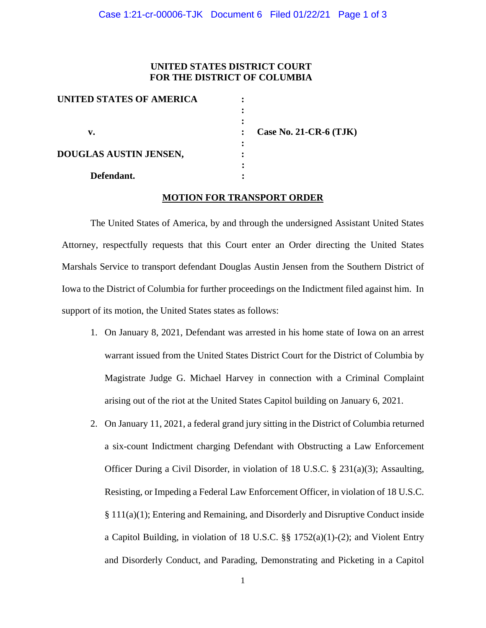## **UNITED STATES DISTRICT COURT FOR THE DISTRICT OF COLUMBIA**

| UNITED STATES OF AMERICA |                          |
|--------------------------|--------------------------|
|                          |                          |
|                          |                          |
| v.                       | Case No. 21-CR-6 $(TJK)$ |
|                          |                          |
| DOUGLAS AUSTIN JENSEN,   |                          |
|                          |                          |
| Defendant.               |                          |

### **MOTION FOR TRANSPORT ORDER**

The United States of America, by and through the undersigned Assistant United States Attorney, respectfully requests that this Court enter an Order directing the United States Marshals Service to transport defendant Douglas Austin Jensen from the Southern District of Iowa to the District of Columbia for further proceedings on the Indictment filed against him. In support of its motion, the United States states as follows:

- 1. On January 8, 2021, Defendant was arrested in his home state of Iowa on an arrest warrant issued from the United States District Court for the District of Columbia by Magistrate Judge G. Michael Harvey in connection with a Criminal Complaint arising out of the riot at the United States Capitol building on January 6, 2021.
- 2. On January 11, 2021, a federal grand jury sitting in the District of Columbia returned a six-count Indictment charging Defendant with Obstructing a Law Enforcement Officer During a Civil Disorder, in violation of 18 U.S.C. § 231(a)(3); Assaulting, Resisting, or Impeding a Federal Law Enforcement Officer, in violation of 18 U.S.C. § 111(a)(1); Entering and Remaining, and Disorderly and Disruptive Conduct inside a Capitol Building, in violation of 18 U.S.C.  $\S$  1752(a)(1)-(2); and Violent Entry and Disorderly Conduct, and Parading, Demonstrating and Picketing in a Capitol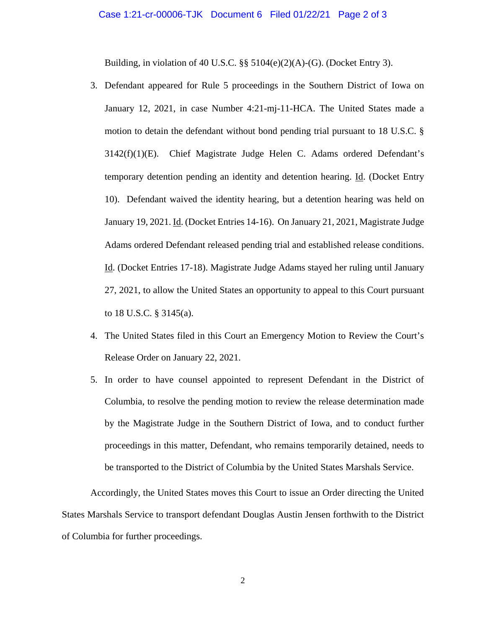#### Case 1:21-cr-00006-TJK Document 6 Filed 01/22/21 Page 2 of 3

Building, in violation of 40 U.S.C. §§ 5104(e)(2)(A)-(G). (Docket Entry 3).

- 3. Defendant appeared for Rule 5 proceedings in the Southern District of Iowa on January 12, 2021, in case Number 4:21-mj-11-HCA. The United States made a motion to detain the defendant without bond pending trial pursuant to 18 U.S.C. §  $3142(f)(1)(E)$ . Chief Magistrate Judge Helen C. Adams ordered Defendant's temporary detention pending an identity and detention hearing. Id. (Docket Entry 10). Defendant waived the identity hearing, but a detention hearing was held on January 19, 2021. Id. (Docket Entries 14-16). On January 21, 2021, Magistrate Judge Adams ordered Defendant released pending trial and established release conditions. Id. (Docket Entries 17-18). Magistrate Judge Adams stayed her ruling until January 27, 2021, to allow the United States an opportunity to appeal to this Court pursuant to 18 U.S.C. § 3145(a).
- 4. The United States filed in this Court an Emergency Motion to Review the Court's Release Order on January 22, 2021.
- 5. In order to have counsel appointed to represent Defendant in the District of Columbia, to resolve the pending motion to review the release determination made by the Magistrate Judge in the Southern District of Iowa, and to conduct further proceedings in this matter, Defendant, who remains temporarily detained, needs to be transported to the District of Columbia by the United States Marshals Service.

Accordingly, the United States moves this Court to issue an Order directing the United States Marshals Service to transport defendant Douglas Austin Jensen forthwith to the District of Columbia for further proceedings.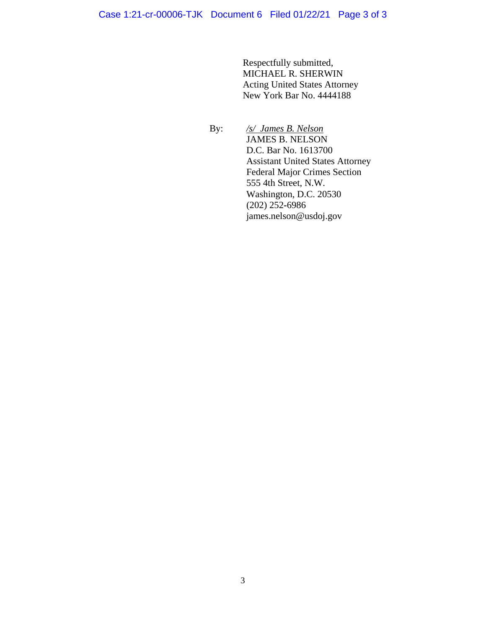Respectfully submitted, MICHAEL R. SHERWIN Acting United States Attorney New York Bar No. 4444188

 By: */s/ James B. Nelson* JAMES B. NELSON D.C. Bar No. 1613700 Assistant United States Attorney Federal Major Crimes Section 555 4th Street, N.W. Washington, D.C. 20530 (202) 252**-**6986 james.nelson@usdoj.gov